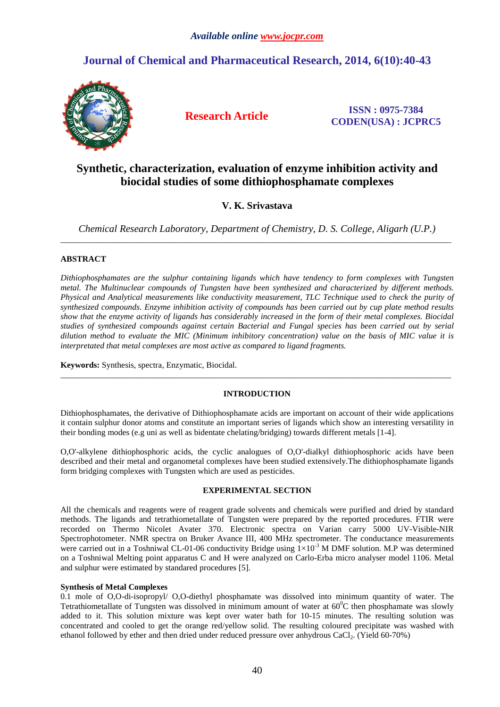# **Journal of Chemical and Pharmaceutical Research, 2014, 6(10):40-43**



**Research Article ISSN : 0975-7384 CODEN(USA) : JCPRC5**

# **Synthetic, characterization, evaluation of enzyme inhibition activity and biocidal studies of some dithiophosphamate complexes**

# **V. K. Srivastava**

*Chemical Research Laboratory, Department of Chemistry, D. S. College, Aligarh (U.P.)*  \_\_\_\_\_\_\_\_\_\_\_\_\_\_\_\_\_\_\_\_\_\_\_\_\_\_\_\_\_\_\_\_\_\_\_\_\_\_\_\_\_\_\_\_\_\_\_\_\_\_\_\_\_\_\_\_\_\_\_\_\_\_\_\_\_\_\_\_\_\_\_\_\_\_\_\_\_\_\_\_\_\_\_\_\_\_\_\_\_\_\_\_\_

## **ABSTRACT**

*Dithiophosphamates are the sulphur containing ligands which have tendency to form complexes with Tungsten metal. The Multinuclear compounds of Tungsten have been synthesized and characterized by different methods. Physical and Analytical measurements like conductivity measurement, TLC Technique used to check the purity of synthesized compounds. Enzyme inhibition activity of compounds has been carried out by cup plate method results show that the enzyme activity of ligands has considerably increased in the form of their metal complexes. Biocidal studies of synthesized compounds against certain Bacterial and Fungal species has been carried out by serial dilution method to evaluate the MIC (Minimum inhibitory concentration) value on the basis of MIC value it is interpretated that metal complexes are most active as compared to ligand fragments.* 

**Keywords:** Synthesis, spectra, Enzymatic, Biocidal.

## **INTRODUCTION**

\_\_\_\_\_\_\_\_\_\_\_\_\_\_\_\_\_\_\_\_\_\_\_\_\_\_\_\_\_\_\_\_\_\_\_\_\_\_\_\_\_\_\_\_\_\_\_\_\_\_\_\_\_\_\_\_\_\_\_\_\_\_\_\_\_\_\_\_\_\_\_\_\_\_\_\_\_\_\_\_\_\_\_\_\_\_\_\_\_\_\_\_\_

Dithiophosphamates, the derivative of Dithiophosphamate acids are important on account of their wide applications it contain sulphur donor atoms and constitute an important series of ligands which show an interesting versatility in their bonding modes (e.g uni as well as bidentate chelating/bridging) towards different metals [1-4].

O,O'-alkylene dithiophosphoric acids, the cyclic analogues of O,O'-dialkyl dithiophosphoric acids have been described and their metal and organometal complexes have been studied extensively.The dithiophosphamate ligands form bridging complexes with Tungsten which are used as pesticides.

## **EXPERIMENTAL SECTION**

All the chemicals and reagents were of reagent grade solvents and chemicals were purified and dried by standard methods. The ligands and tetrathiometallate of Tungsten were prepared by the reported procedures. FTIR were recorded on Thermo Nicolet Avater 370. Electronic spectra on Varian carry 5000 UV-Visible-NIR Spectrophotometer. NMR spectra on Bruker Avance III, 400 MHz spectrometer. The conductance measurements were carried out in a Toshniwal CL-01-06 conductivity Bridge using  $1 \times 10^{-3}$  M DMF solution. M.P was determined on a Toshniwal Melting point apparatus C and H were analyzed on Carlo-Erba micro analyser model 1106. Metal and sulphur were estimated by standared procedures [5].

## **Synthesis of Metal Complexes**

0.1 mole of O,O-di-isopropyl/ O,O-diethyl phosphamate was dissolved into minimum quantity of water. The Tetrathiometallate of Tungsten was dissolved in minimum amount of water at  $60^{\circ}$ C then phosphamate was slowly added to it. This solution mixture was kept over water bath for 10-15 minutes. The resulting solution was concentrated and cooled to get the orange red/yellow solid. The resulting coloured precipitate was washed with ethanol followed by ether and then dried under reduced pressure over anhydrous CaCl2. (Yield 60-70%)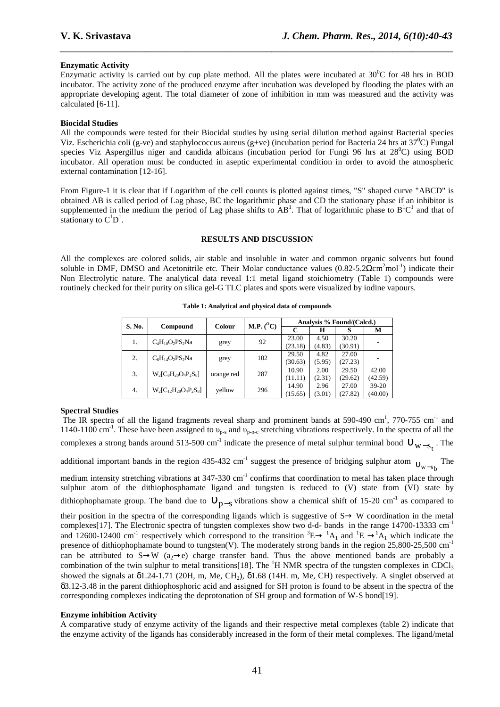### **Enzymatic Activity**

Enzymatic activity is carried out by cup plate method. All the plates were incubated at  $30^{\circ}$ C for 48 hrs in BOD incubator. The activity zone of the produced enzyme after incubation was developed by flooding the plates with an appropriate developing agent. The total diameter of zone of inhibition in mm was measured and the activity was calculated [6-11].

*\_\_\_\_\_\_\_\_\_\_\_\_\_\_\_\_\_\_\_\_\_\_\_\_\_\_\_\_\_\_\_\_\_\_\_\_\_\_\_\_\_\_\_\_\_\_\_\_\_\_\_\_\_\_\_\_\_\_\_\_\_\_\_\_\_\_\_\_\_\_\_\_\_\_\_\_\_\_*

### **Biocidal Studies**

All the compounds were tested for their Biocidal studies by using serial dilution method against Bacterial species Viz. Escherichia coli (g-ve) and staphylococcus aureus (g+ve) (incubation period for Bacteria 24 hrs at  $37^{\circ}$ C) Fungal species Viz Aspergillus niger and candida albicans (incubation period for Fungi 96 hrs at  $28^{\circ}$ C) using BOD incubator. All operation must be conducted in aseptic experimental condition in order to avoid the atmospheric external contamination [12-16].

From Figure-1 it is clear that if Logarithm of the cell counts is plotted against times, "S" shaped curve "ABCD" is obtained AB is called period of Lag phase, BC the logarithmic phase and CD the stationary phase if an inhibitor is supplemented in the medium the period of Lag phase shifts to  $AB^1$ . That of logarithmic phase to  $B^1C^1$  and that of stationary to  $C^1D^1$ .

#### **RESULTS AND DISCUSSION**

All the complexes are colored solids, air stable and insoluble in water and common organic solvents but found soluble in DMF, DMSO and Acetonitrile etc. Their Molar conductance values  $(0.82-5.2\Omega \text{cm}^2 \text{mol}^{-1})$  indicate their Non Electrolytic nature. The analytical data reveal 1:1 metal ligand stoichiometry (Table 1) compounds were routinely checked for their purity on silica gel-G TLC plates and spots were visualized by iodine vapours.

| S. No. | Compound                     | Colour     | M.P. $(^{0}C)$ | Analysis % Found/(Calcd.) |        |         |         |
|--------|------------------------------|------------|----------------|---------------------------|--------|---------|---------|
|        |                              |            |                | C                         | н      |         | м       |
| 1.     | $C_4H_{10}O_2PS_2Na$         |            | 92             | 23.00                     | 4.50   | 30.20   |         |
|        |                              | grey       |                | (23.18)                   | (4.83) | (30.91) |         |
| 2.     | $C_6H_{14}O_2PS_2Na$         | grey       | 102            | 29.50                     | 4.82   | 27.00   |         |
|        |                              |            |                | (30.63)                   | (5.95) | (27.23) |         |
| 3.     | $W_2[C_8H_{20}O_4P_2S_8]$    | orange red | 287            | 10.90                     | 2.00   | 29.50   | 42.00   |
|        |                              |            |                | (11.11)                   | (2.31) | (29.62) | (42.59) |
| 4.     | $W_2[C_{12}H_{28}O_4P_2S_8]$ | yellow     | 296            | 14.90                     | 2.96   | 27.00   | $39-20$ |
|        |                              |            |                | (15.65)                   | (3.01) | (27.82) | (40.00) |

**Table 1: Analytical and physical data of compounds** 

#### **Spectral Studies**

The IR spectra of all the ligand fragments reveal sharp and prominent bands at 590-490 cm<sup>1</sup>, 770-755 cm<sup>-1</sup> and 1140-1100 cm<sup>-1</sup>. These have been assigned to  $v_{p-s}$  and  $v_{p-0-c}$  stretching vibrations respectively. In the spectra of all the complexes a strong bands around 513-500 cm<sup>-1</sup> indicate the presence of metal sulphur terminal bond  $v_{w-s_t}$ . The additional important bands in the region 435-432 cm<sup>-1</sup> suggest the presence of bridging sulphur atom  $v_{w-s}$ The

medium intensity stretching vibrations at  $347-330$  cm<sup>-1</sup> confirms that coordination to metal has taken place through sulphur atom of the dithiophosphamate ligand and tungsten is reduced to (V) state from (VI) state by dithiophophamate group. The band due to  $v_{p-s}$  vibrations show a chemical shift of 15-20 cm<sup>-1</sup> as compared to

their position in the spectra of the corresponding ligands which is suggestive of  $S \rightarrow W$  coordination in the metal complexes[17]. The Electronic spectra of tungsten complexes show two d-d- bands in the range 14700-13333 cm-1 and 12600-12400 cm<sup>-1</sup> respectively which correspond to the transition  ${}^{3}E \rightarrow {}^{1}A_{1}$  and  ${}^{1}E \rightarrow {}^{1}A_{1}$  which indicate the presence of dithiophophamate bound to tungsten(V). The moderately strong bands in the region  $25,800-25,500 \text{ cm}^{-1}$ can be attributed to S→W (a<sub>2</sub>→e) charge transfer band. Thus the above mentioned bands are probably a combination of the twin sulphur to metal transitions[18]. The <sup>1</sup>H NMR spectra of the tungsten complexes in CDCl<sub>3</sub> showed the signals at δ1.24-1.71 (20H, m, Me, CH<sub>2</sub>), δ1.68 (14H, m, Me, CH) respectively. A singlet observed at δ3.12-3.48 in the parent dithiophosphoric acid and assigned for SH proton is found to be absent in the spectra of the corresponding complexes indicating the deprotonation of SH group and formation of W-S bond[19].

#### **Enzyme inhibition Activity**

A comparative study of enzyme activity of the ligands and their respective metal complexes (table 2) indicate that the enzyme activity of the ligands has considerably increased in the form of their metal complexes. The ligand/metal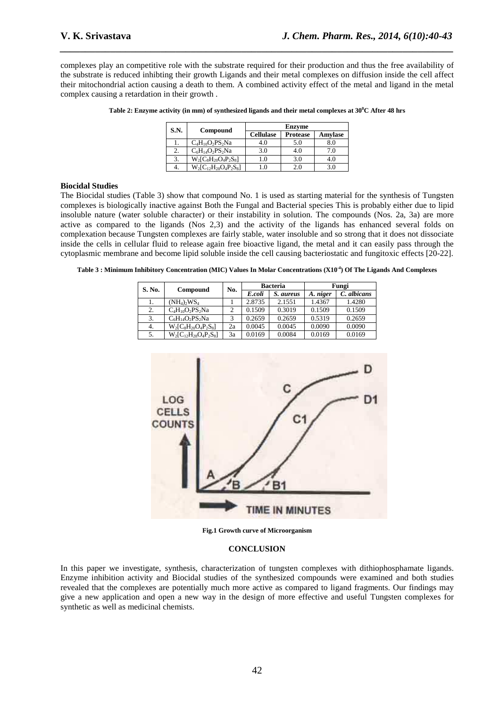complexes play an competitive role with the substrate required for their production and thus the free availability of the substrate is reduced inhibting their growth Ligands and their metal complexes on diffusion inside the cell affect their mitochondrial action causing a death to them. A combined activity effect of the metal and ligand in the metal complex causing a retardation in their growth .

*\_\_\_\_\_\_\_\_\_\_\_\_\_\_\_\_\_\_\_\_\_\_\_\_\_\_\_\_\_\_\_\_\_\_\_\_\_\_\_\_\_\_\_\_\_\_\_\_\_\_\_\_\_\_\_\_\_\_\_\_\_\_\_\_\_\_\_\_\_\_\_\_\_\_\_\_\_\_*

| S.N. | Compound                     | <b>Enzyme</b>    |                 |         |  |  |
|------|------------------------------|------------------|-----------------|---------|--|--|
|      |                              | <b>Cellulase</b> | <b>Protease</b> | Amylase |  |  |
|      | $C_4H_{10}O_2PS_2Na$         | 4.0              | 5.0             | 8.0     |  |  |
|      | $C_6H_{14}O_2PS_2Na$         | 3.0              | 4.0             | 7.0     |  |  |
|      | $W_2[C_8H_{20}O_4P_2S_8]$    |                  | 3.0             | 4.0     |  |  |
|      | $W_2[C_{12}H_{28}O_4P_2S_8]$ |                  | 2.0             | 3.0     |  |  |

**Table 2: Enzyme activity (in mm) of synthesized ligands and their metal complexes at 30<sup>0</sup>C After 48 hrs** 

#### **Biocidal Studies**

The Biocidal studies (Table 3) show that compound No. 1 is used as starting material for the synthesis of Tungsten complexes is biologically inactive against Both the Fungal and Bacterial species This is probably either due to lipid insoluble nature (water soluble character) or their instability in solution. The compounds (Nos. 2a, 3a) are more active as compared to the ligands (Nos 2,3) and the activity of the ligands has enhanced several folds on complexation because Tungsten complexes are fairly stable, water insoluble and so strong that it does not dissociate inside the cells in cellular fluid to release again free bioactive ligand, the metal and it can easily pass through the cytoplasmic membrane and become lipid soluble inside the cell causing bacteriostatic and fungitoxic effects [20-22].

**Table 3 : Minimum Inhibitory Concentration (MIC) Values In Molar Concentrations (X10-4) Of The Ligands And Complexes** 

| S. No. | Compound                     | No. | <b>Bacteria</b> |           | Fungi    |             |
|--------|------------------------------|-----|-----------------|-----------|----------|-------------|
|        |                              |     | E.coli          | S. aureus | A. niger | C. albicans |
| ı.     | $(NH_4)$ , $WS_4$            |     | 2.8735          | 2.1551    | 1.4367   | 1.4280      |
| 2.     | $C_4H_{10}O_2PS_2Na$         |     | 0.1509          | 0.3019    | 0.1509   | 0.1509      |
| 3.     | $C_6H_{14}O_2PS_2Na$         | 3   | 0.2659          | 0.2659    | 0.5319   | 0.2659      |
| 4.     | $W_2[C_8H_{20}O_4P_2S_8]$    | 2a  | 0.0045          | 0.0045    | 0.0090   | 0.0090      |
| 5.     | $W_2[C_{12}H_{28}O_4P_2S_8]$ | 3a  | 0.0169          | 0.0084    | 0.0169   | 0.0169      |



**Fig.1 Growth curve of Microorganism** 

#### **CONCLUSION**

In this paper we investigate, synthesis, characterization of tungsten complexes with dithiophosphamate ligands. Enzyme inhibition activity and Biocidal studies of the synthesized compounds were examined and both studies revealed that the complexes are potentially much more active as compared to ligand fragments. Our findings may give a new application and open a new way in the design of more effective and useful Tungsten complexes for synthetic as well as medicinal chemists.